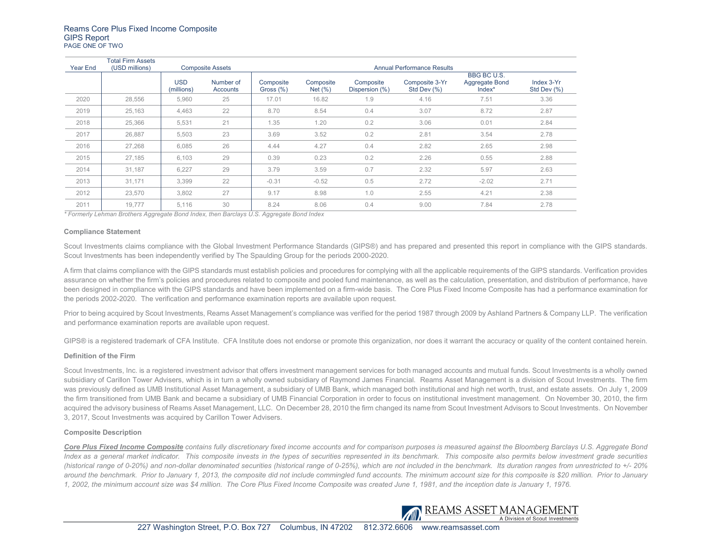| Year End | Total Firm Assets<br>(USD millions) | <b>Composite Assets</b>  |                       | <b>Annual Performance Results</b> |                          |                             |                               |                                                   |                           |
|----------|-------------------------------------|--------------------------|-----------------------|-----------------------------------|--------------------------|-----------------------------|-------------------------------|---------------------------------------------------|---------------------------|
|          |                                     | <b>USD</b><br>(millions) | Number of<br>Accounts | Composite<br>Gross $(\%)$         | Composite<br>Net $(\% )$ | Composite<br>Dispersion (%) | Composite 3-Yr<br>Std Dev (%) | <b>BBG BC U.S.</b><br>Aggregate Bond<br>$Index^*$ | Index 3-Yr<br>Std Dev (%) |
| 2020     | 28,556                              | 5,960                    | 25                    | 17.01                             | 16.82                    | 1.9                         | 4.16                          | 7.51                                              | 3.36                      |
| 2019     | 25,163                              | 4,463                    | 22                    | 8.70                              | 8.54                     | 0.4                         | 3.07                          | 8.72                                              | 2.87                      |
| 2018     | 25,366                              | 5,531                    | 21                    | 1.35                              | 1.20                     | 0.2                         | 3.06                          | 0.01                                              | 2.84                      |
| 2017     | 26,887                              | 5,503                    | 23                    | 3.69                              | 3.52                     | 0.2                         | 2.81                          | 3.54                                              | 2.78                      |
| 2016     | 27.268                              | 6.085                    | 26                    | 4.44                              | 4.27                     | 0.4                         | 2.82                          | 2.65                                              | 2.98                      |
| 2015     | 27,185                              | 6,103                    | 29                    | 0.39                              | 0.23                     | 0.2                         | 2.26                          | 0.55                                              | 2.88                      |
| 2014     | 31,187                              | 6.227                    | 29                    | 3.79                              | 3.59                     | 0.7                         | 2.32                          | 5.97                                              | 2.63                      |
| 2013     | 31,171                              | 3.399                    | 22                    | $-0.31$                           | $-0.52$                  | 0.5                         | 2.72                          | $-2.02$                                           | 2.71                      |
| 2012     | 23.570                              | 3.802                    | 27                    | 9.17                              | 8.98                     | 1.0                         | 2.55                          | 4.21                                              | 2.38                      |
| 2011     | 19,777                              | 5,116                    | 30                    | 8.24                              | 8.06                     | 0.4                         | 9.00                          | 7.84                                              | 2.78                      |

*\* Formerly Lehman Brothers Aggregate Bond Index, then Barclays U.S. Aggregate Bond Index*

#### **Compliance Statement**

Scout Investments claims compliance with the Global Investment Performance Standards (GIPS®) and has prepared and presented this report in compliance with the GIPS standards. Scout Investments has been independently verified by The Spaulding Group for the periods 2000-2020.

A firm that claims compliance with the GIPS standards must establish policies and procedures for complying with all the applicable requirements of the GIPS standards. Verification provides assurance on whether the firm's policies and procedures related to composite and pooled fund maintenance, as well as the calculation, presentation, and distribution of performance, have been designed in compliance with the GIPS standards and have been implemented on a firm-wide basis. The Core Plus Fixed Income Composite has had a performance examination for the periods 2002-2020. The verification and performance examination reports are available upon request.

Prior to being acquired by Scout Investments, Reams Asset Management's compliance was verified for the period 1987 through 2009 by Ashland Partners & Company LLP. The verification and performance examination reports are available upon request.

GIPS® is a registered trademark of CFA Institute. CFA Institute does not endorse or promote this organization, nor does it warrant the accuracy or quality of the content contained herein.

### **Definition of the Firm**

Scout Investments, Inc. is a registered investment advisor that offers investment management services for both managed accounts and mutual funds. Scout Investments is a wholly owned subsidiary of Carillon Tower Advisers, which is in turn a wholly owned subsidiary of Raymond James Financial. Reams Asset Management is a division of Scout Investments. The firm was previously defined as UMB Institutional Asset Management, a subsidiary of UMB Bank, which managed both institutional and high net worth, trust, and estate assets. On July 1, 2009 the firm transitioned from UMB Bank and became a subsidiary of UMB Financial Corporation in order to focus on institutional investment management. On November 30, 2010, the firm acquired the advisory business of Reams Asset Management, LLC. On December 28, 2010 the firm changed its name from Scout Investment Advisors to Scout Investments. On November 3, 2017, Scout Investments was acquired by Carillon Tower Advisers.

### **Composite Description**

*Core Plus Fixed Income Composite contains fully discretionary fixed income accounts and for comparison purposes is measured against the Bloomberg Barclays U.S. Aggregate Bond*  Index as a general market indicator. This composite invests in the types of securities represented in its benchmark. This composite also permits below investment grade securities *(historical range of 0-20%) and non-dollar denominated securities (historical range of 0-25%), which are not included in the benchmark. Its duration ranges from unrestricted to +/- 20% around the benchmark. Prior to January 1, 2013, the composite did not include commingled fund accounts. The minimum account size for this composite is \$20 million. Prior to January 1, 2002, the minimum account size was \$4 million. The Core Plus Fixed Income Composite was created June 1, 1981, and the inception date is January 1, 1976.*